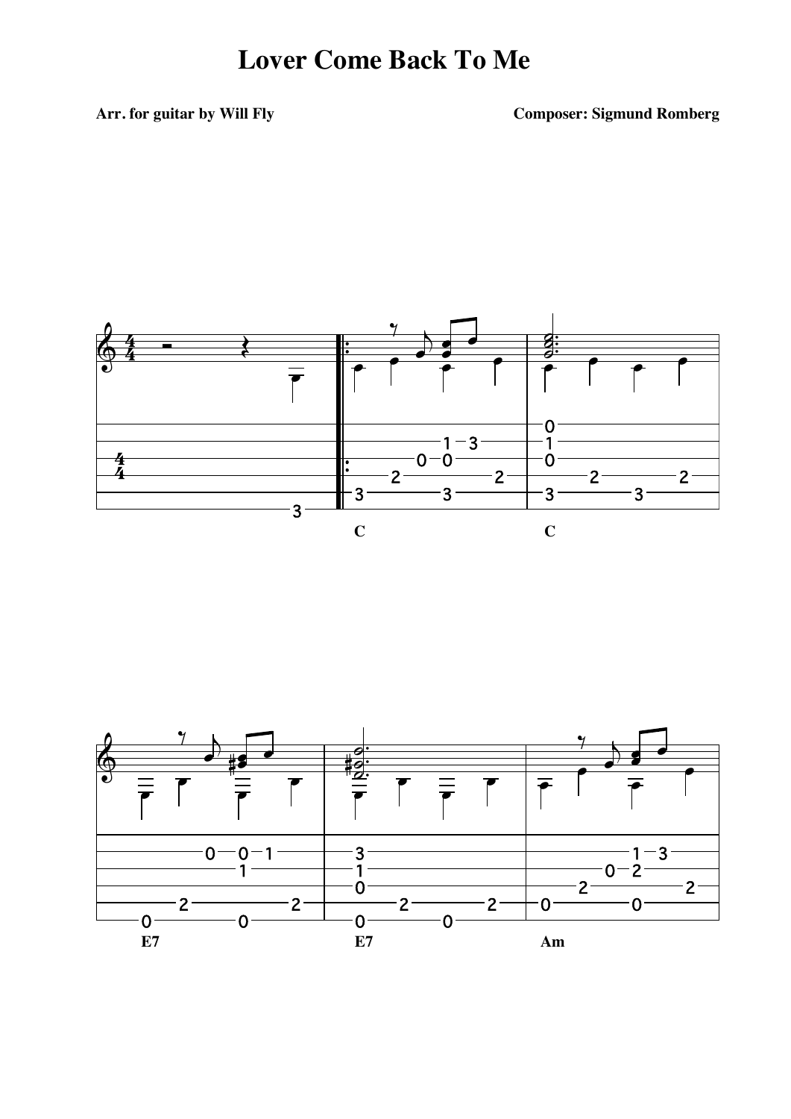Arr. for guitar by Will Fly

**Composer: Sigmund Romberg** 



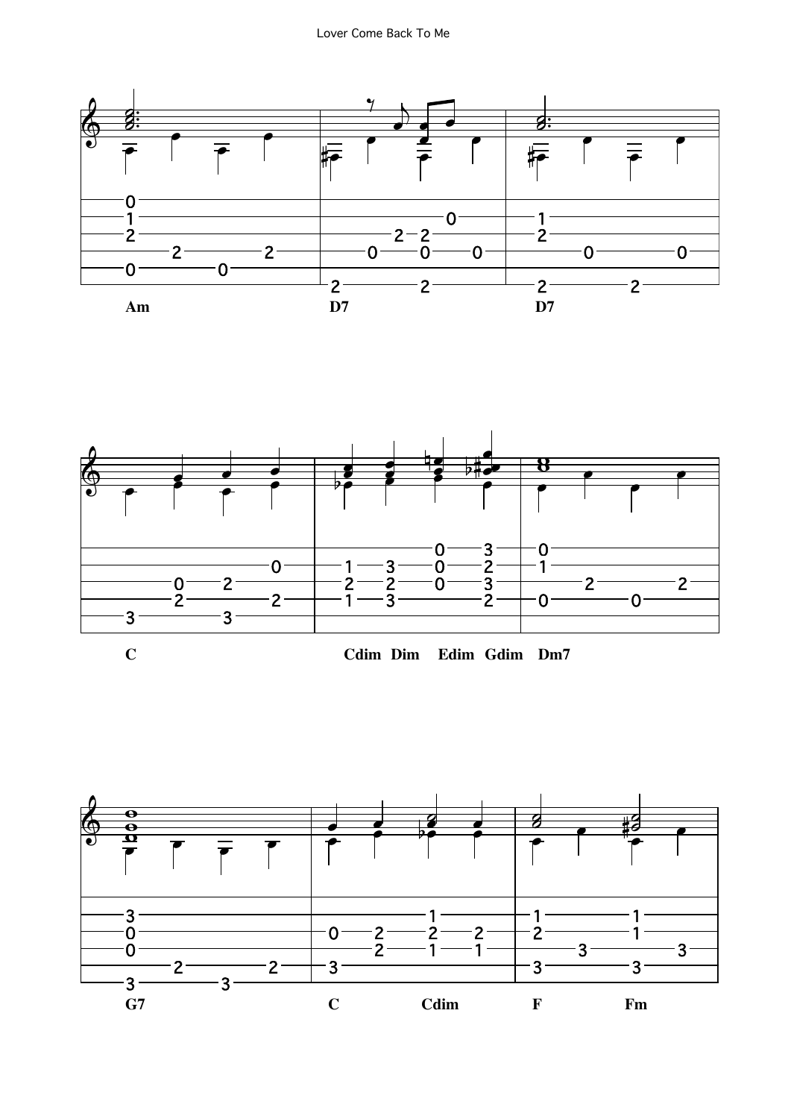



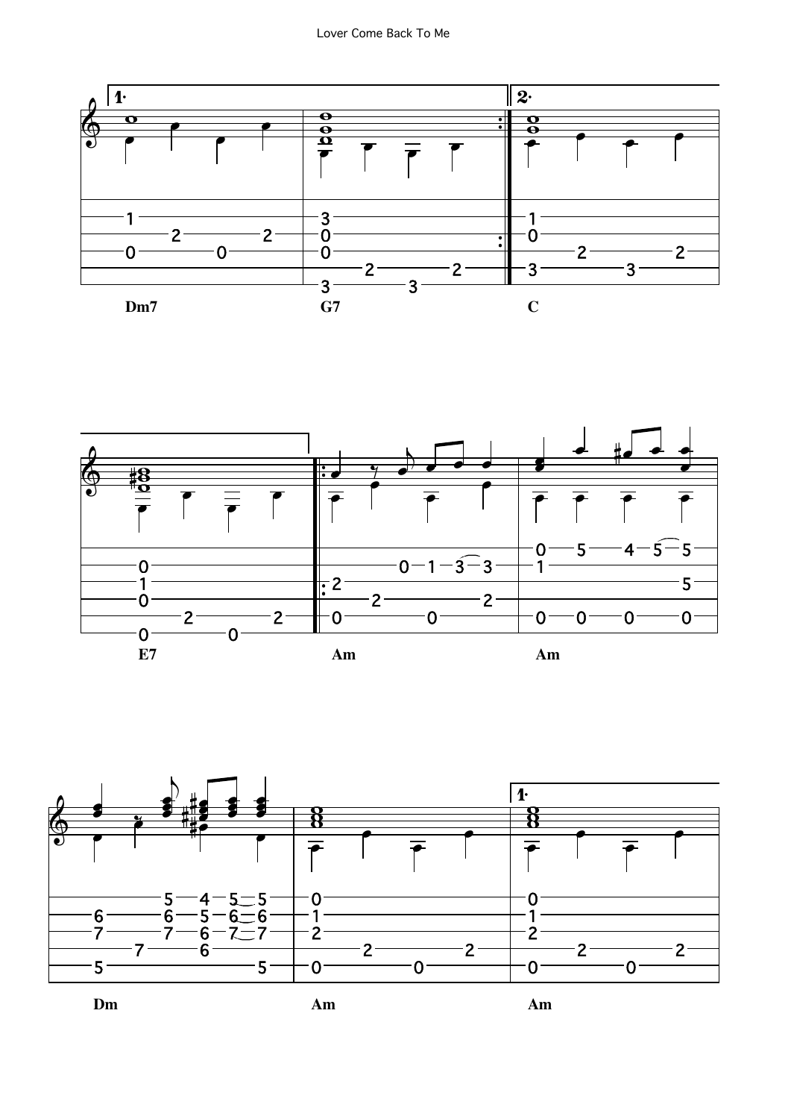



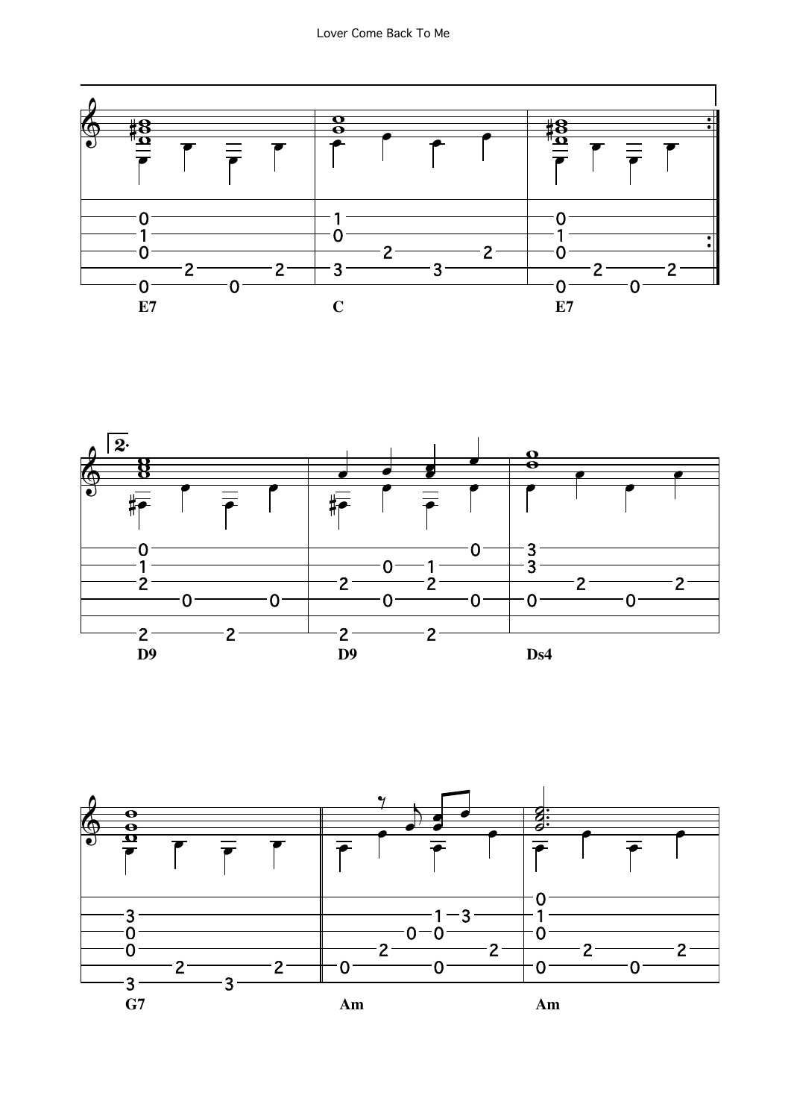



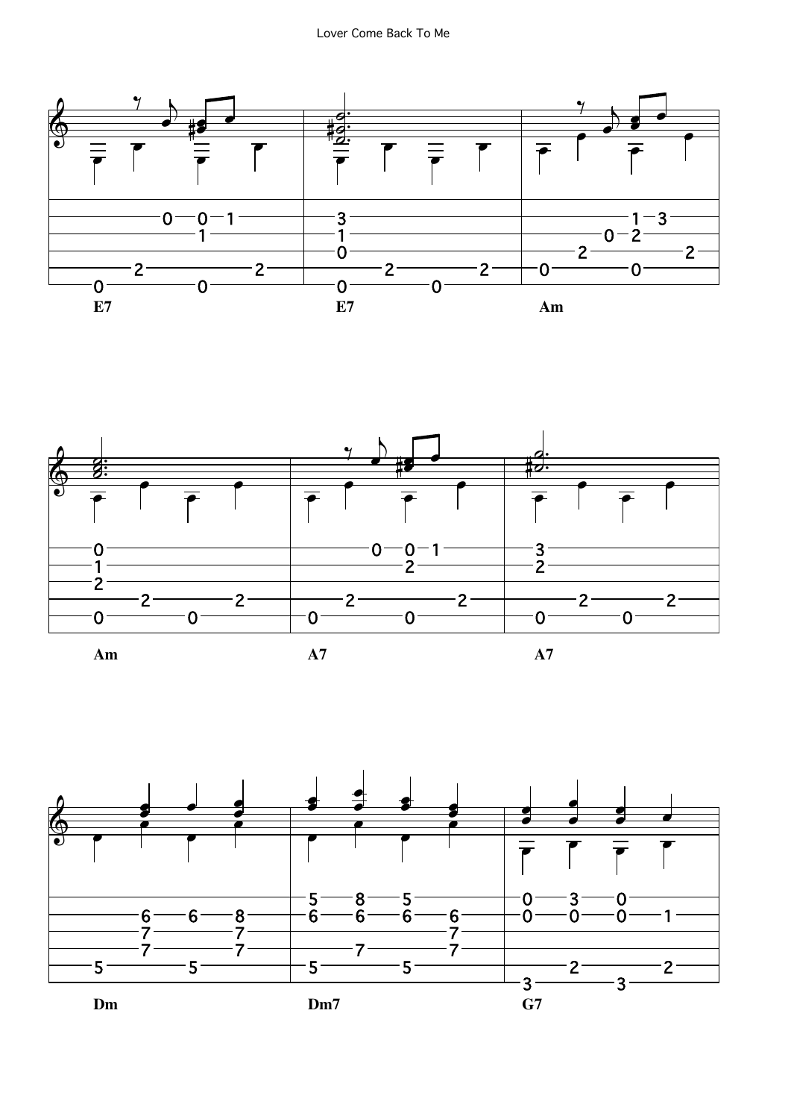